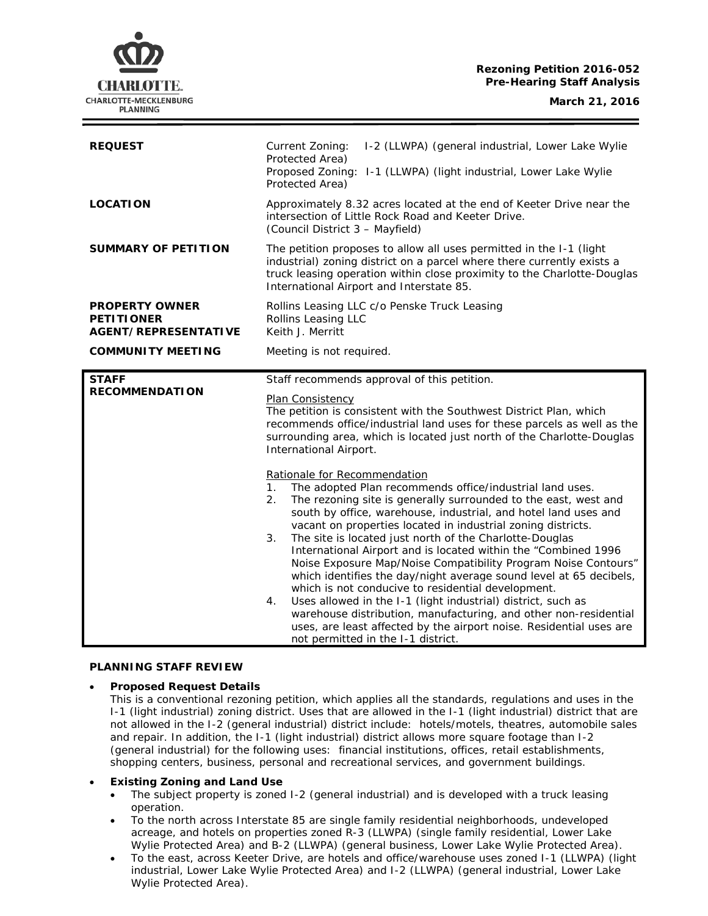# CHARLOTTE. CHARLOTTE-MECKLENBURG **PLANNING**

| <b>REQUEST</b>                                                            | I-2 (LLWPA) (general industrial, Lower Lake Wylie<br>Current Zoning:<br>Protected Area)<br>Proposed Zoning: I-1 (LLWPA) (light industrial, Lower Lake Wylie<br>Protected Area)                                                                                                                                                                                                                                                                                                                                                                                                                                                                                                                                                                                                                                                                                                                                                                                                                                                                                                                                                                                                                                                         |
|---------------------------------------------------------------------------|----------------------------------------------------------------------------------------------------------------------------------------------------------------------------------------------------------------------------------------------------------------------------------------------------------------------------------------------------------------------------------------------------------------------------------------------------------------------------------------------------------------------------------------------------------------------------------------------------------------------------------------------------------------------------------------------------------------------------------------------------------------------------------------------------------------------------------------------------------------------------------------------------------------------------------------------------------------------------------------------------------------------------------------------------------------------------------------------------------------------------------------------------------------------------------------------------------------------------------------|
| <b>LOCATION</b>                                                           | Approximately 8.32 acres located at the end of Keeter Drive near the<br>intersection of Little Rock Road and Keeter Drive.<br>(Council District 3 - Mayfield)                                                                                                                                                                                                                                                                                                                                                                                                                                                                                                                                                                                                                                                                                                                                                                                                                                                                                                                                                                                                                                                                          |
| <b>SUMMARY OF PETITION</b>                                                | The petition proposes to allow all uses permitted in the I-1 (light<br>industrial) zoning district on a parcel where there currently exists a<br>truck leasing operation within close proximity to the Charlotte-Douglas<br>International Airport and Interstate 85.                                                                                                                                                                                                                                                                                                                                                                                                                                                                                                                                                                                                                                                                                                                                                                                                                                                                                                                                                                   |
| <b>PROPERTY OWNER</b><br><b>PETITIONER</b><br><b>AGENT/REPRESENTATIVE</b> | Rollins Leasing LLC c/o Penske Truck Leasing<br>Rollins Leasing LLC<br>Keith J. Merritt                                                                                                                                                                                                                                                                                                                                                                                                                                                                                                                                                                                                                                                                                                                                                                                                                                                                                                                                                                                                                                                                                                                                                |
| <b>COMMUNITY MEETING</b>                                                  | Meeting is not required.                                                                                                                                                                                                                                                                                                                                                                                                                                                                                                                                                                                                                                                                                                                                                                                                                                                                                                                                                                                                                                                                                                                                                                                                               |
| <b>STAFF</b><br><b>RECOMMENDATION</b>                                     | Staff recommends approval of this petition.<br>Plan Consistency<br>The petition is consistent with the Southwest District Plan, which<br>recommends office/industrial land uses for these parcels as well as the<br>surrounding area, which is located just north of the Charlotte-Douglas<br>International Airport.<br>Rationale for Recommendation<br>The adopted Plan recommends office/industrial land uses.<br>$\mathbf{1}$ .<br>The rezoning site is generally surrounded to the east, west and<br>2.<br>south by office, warehouse, industrial, and hotel land uses and<br>vacant on properties located in industrial zoning districts.<br>The site is located just north of the Charlotte-Douglas<br>3.<br>International Airport and is located within the "Combined 1996<br>Noise Exposure Map/Noise Compatibility Program Noise Contours"<br>which identifies the day/night average sound level at 65 decibels,<br>which is not conducive to residential development.<br>Uses allowed in the I-1 (light industrial) district, such as<br>4.<br>warehouse distribution, manufacturing, and other non-residential<br>uses, are least affected by the airport noise. Residential uses are<br>not permitted in the I-1 district. |

## **PLANNING STAFF REVIEW**

## • **Proposed Request Details**

This is a conventional rezoning petition, which applies all the standards, regulations and uses in the I-1 (light industrial) zoning district. Uses that are allowed in the I-1 (light industrial) district that are not allowed in the I-2 (general industrial) district include: hotels/motels, theatres, automobile sales and repair. In addition, the I-1 (light industrial) district allows more square footage than I-2 (general industrial) for the following uses: financial institutions, offices, retail establishments, shopping centers, business, personal and recreational services, and government buildings.

## • **Existing Zoning and Land Use**

- The subject property is zoned I-2 (general industrial) and is developed with a truck leasing operation.
- To the north across Interstate 85 are single family residential neighborhoods, undeveloped acreage, and hotels on properties zoned R-3 (LLWPA) (single family residential, Lower Lake Wylie Protected Area) and B-2 (LLWPA) (general business, Lower Lake Wylie Protected Area).
- To the east, across Keeter Drive, are hotels and office/warehouse uses zoned I-1 (LLWPA) (light industrial, Lower Lake Wylie Protected Area) and I-2 (LLWPA) (general industrial, Lower Lake Wylie Protected Area).